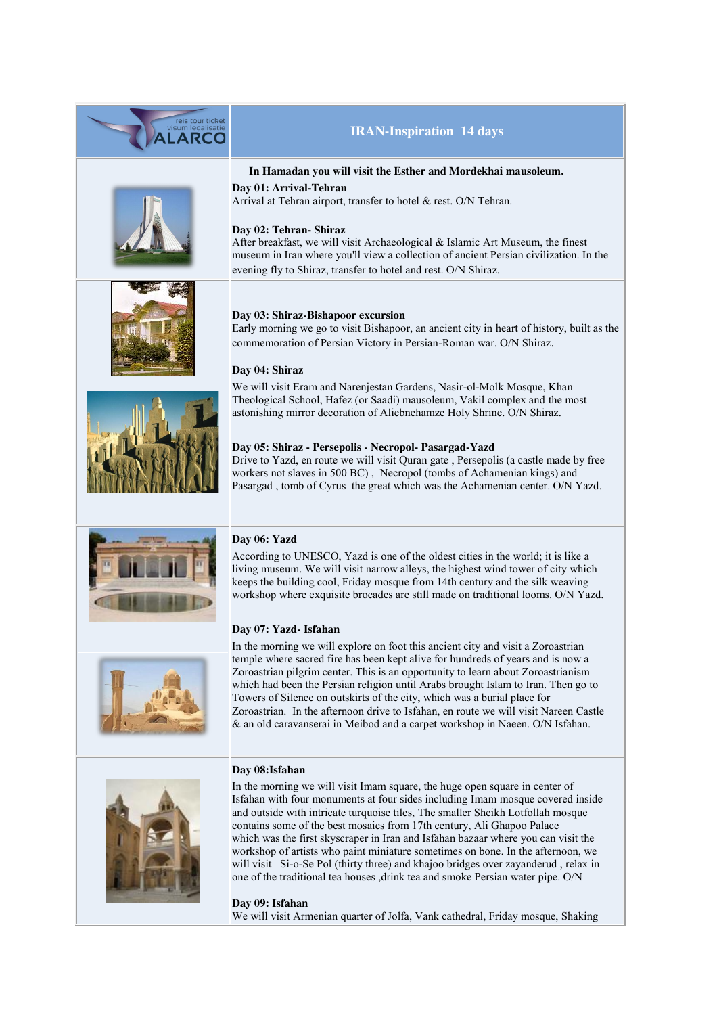











# **IRAN-Inspiration 14 days**

#### **In Hamadan you will visit the Esther and Mordekhai mausoleum.**

**Day 01: Arrival-Tehran** Arrival at Tehran airport, transfer to hotel & rest. O/N Tehran.

# **Day 02: Tehran- Shiraz**

After breakfast, we will visit Archaeological & Islamic Art Museum, the finest museum in Iran where you'll view a collection of ancient Persian civilization. In the evening fly to Shiraz, transfer to hotel and rest. O/N Shiraz.

#### **Day 03: Shiraz-Bishapoor excursion**

Early morning we go to visit Bishapoor, an ancient city in heart of history, built as the commemoration of Persian Victory in Persian-Roman war. O/N Shiraz.

# **Day 04: Shiraz**

We will visit Eram and Narenjestan Gardens, Nasir-ol-Molk Mosque, Khan Theological School, Hafez (or Saadi) mausoleum, Vakil complex and the most astonishing mirror decoration of Aliebnehamze Holy Shrine. O/N Shiraz.

# **Day 05: Shiraz - Persepolis - Necropol- Pasargad-Yazd**

Drive to Yazd, en route we will visit Quran gate , Persepolis (a castle made by free workers not slaves in 500 BC) , Necropol (tombs of Achamenian kings) and Pasargad , tomb of Cyrus the great which was the Achamenian center. O/N Yazd.

# **Day 06: Yazd**

According to UNESCO, Yazd is one of the oldest cities in the world; it is like a living museum. We will visit narrow alleys, the highest wind tower of city which keeps the building cool, Friday mosque from 14th century and the silk weaving workshop where exquisite brocades are still made on traditional looms. O/N Yazd.

#### **Day 07: Yazd- Isfahan**

In the morning we will explore on foot this ancient city and visit a Zoroastrian temple where sacred fire has been kept alive for hundreds of years and is now a Zoroastrian pilgrim center. This is an opportunity to learn about Zoroastrianism which had been the Persian religion until Arabs brought Islam to Iran. Then go to Towers of Silence on outskirts of the city, which was a burial place for Zoroastrian. In the afternoon drive to Isfahan, en route we will visit Nareen Castle & an old caravanserai in Meibod and a carpet workshop in Naeen. O/N Isfahan.

#### **Day 08:Isfahan**



In the morning we will visit Imam square, the huge open square in center of Isfahan with four monuments at four sides including Imam mosque covered inside and outside with intricate turquoise tiles, The smaller Sheikh Lotfollah mosque contains some of the best mosaics from 17th century, Ali Ghapoo Palace which was the first skyscraper in Iran and Isfahan bazaar where you can visit the workshop of artists who paint miniature sometimes on bone. In the afternoon, we will visit Si-o-Se Pol (thirty three) and khajoo bridges over zayanderud, relax in one of the traditional tea houses ,drink tea and smoke Persian water pipe. O/N

**Day 09: Isfahan** We will visit Armenian quarter of Jolfa, Vank cathedral, Friday mosque, Shaking